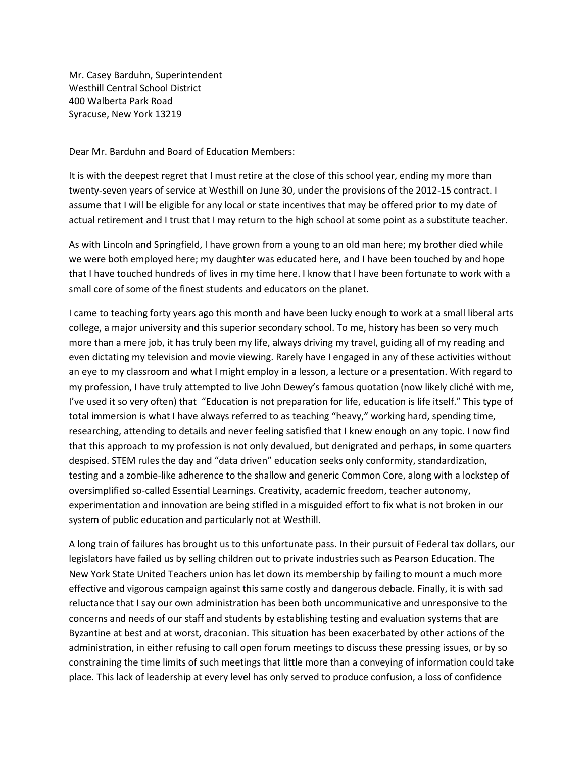Mr. Casey Barduhn, Superintendent Westhill Central School District 400 Walberta Park Road Syracuse, New York 13219

Dear Mr. Barduhn and Board of Education Members:

It is with the deepest regret that I must retire at the close of this school year, ending my more than twenty-seven years of service at Westhill on June 30, under the provisions of the 2012-15 contract. I assume that I will be eligible for any local or state incentives that may be offered prior to my date of actual retirement and I trust that I may return to the high school at some point as a substitute teacher.

As with Lincoln and Springfield, I have grown from a young to an old man here; my brother died while we were both employed here; my daughter was educated here, and I have been touched by and hope that I have touched hundreds of lives in my time here. I know that I have been fortunate to work with a small core of some of the finest students and educators on the planet.

I came to teaching forty years ago this month and have been lucky enough to work at a small liberal arts college, a major university and this superior secondary school. To me, history has been so very much more than a mere job, it has truly been my life, always driving my travel, guiding all of my reading and even dictating my television and movie viewing. Rarely have I engaged in any of these activities without an eye to my classroom and what I might employ in a lesson, a lecture or a presentation. With regard to my profession, I have truly attempted to live John Dewey's famous quotation (now likely cliché with me, I've used it so very often) that "Education is not preparation for life, education is life itself." This type of total immersion is what I have always referred to as teaching "heavy," working hard, spending time, researching, attending to details and never feeling satisfied that I knew enough on any topic. I now find that this approach to my profession is not only devalued, but denigrated and perhaps, in some quarters despised. STEM rules the day and "data driven" education seeks only conformity, standardization, testing and a zombie-like adherence to the shallow and generic Common Core, along with a lockstep of oversimplified so-called Essential Learnings. Creativity, academic freedom, teacher autonomy, experimentation and innovation are being stifled in a misguided effort to fix what is not broken in our system of public education and particularly not at Westhill.

A long train of failures has brought us to this unfortunate pass. In their pursuit of Federal tax dollars, our legislators have failed us by selling children out to private industries such as Pearson Education. The New York State United Teachers union has let down its membership by failing to mount a much more effective and vigorous campaign against this same costly and dangerous debacle. Finally, it is with sad reluctance that I say our own administration has been both uncommunicative and unresponsive to the concerns and needs of our staff and students by establishing testing and evaluation systems that are Byzantine at best and at worst, draconian. This situation has been exacerbated by other actions of the administration, in either refusing to call open forum meetings to discuss these pressing issues, or by so constraining the time limits of such meetings that little more than a conveying of information could take place. This lack of leadership at every level has only served to produce confusion, a loss of confidence